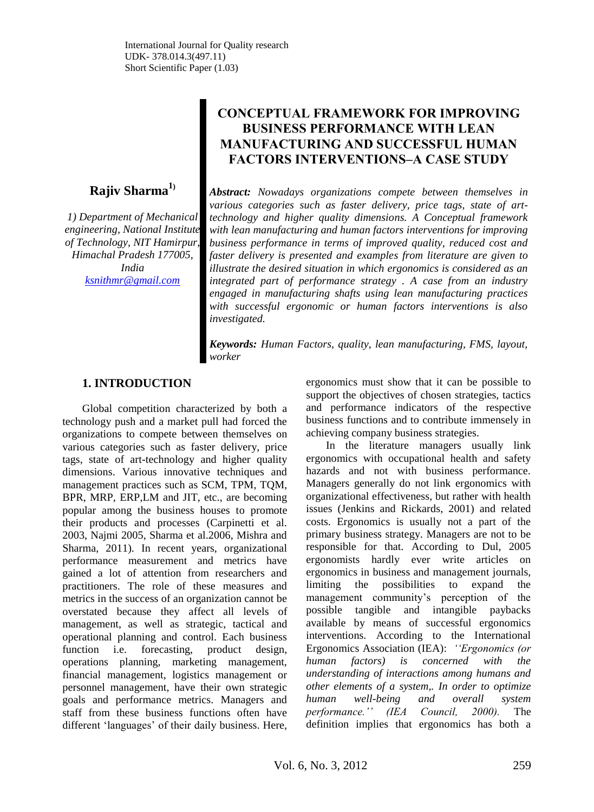# **Rajiv Sharma<sup>1</sup>)**

*1) Department of Mechanical engineering, National Institute of Technology, NIT Hamirpur, Himachal Pradesh 177005, India [ksnithmr@gmail.com](mailto:ksnithmr@gmail.com)*

# **CONCEPTUAL FRAMEWORK FOR IMPROVING BUSINESS PERFORMANCE WITH LEAN MANUFACTURING AND SUCCESSFUL HUMAN FACTORS INTERVENTIONS–A CASE STUDY**

*Abstract: Nowadays organizations compete between themselves in various categories such as faster delivery, price tags, state of arttechnology and higher quality dimensions. A Conceptual framework with lean manufacturing and human factors interventions for improving business performance in terms of improved quality, reduced cost and faster delivery is presented and examples from literature are given to illustrate the desired situation in which ergonomics is considered as an integrated part of performance strategy . A case from an industry engaged in manufacturing shafts using lean manufacturing practices with successful ergonomic or human factors interventions is also investigated.*

*Keywords: Human Factors, quality, lean manufacturing, FMS, layout, worker*

# **1. INTRODUCTION**

Global competition characterized by both a technology push and a market pull had forced the organizations to compete between themselves on various categories such as faster delivery, price tags, state of art-technology and higher quality dimensions. Various innovative techniques and management practices such as SCM, TPM, TQM, BPR, MRP, ERP,LM and JIT, etc., are becoming popular among the business houses to promote their products and processes (Carpinetti et al. 2003, Najmi 2005, Sharma et al.2006, Mishra and Sharma, 2011). In recent years, organizational performance measurement and metrics have gained a lot of attention from researchers and practitioners. The role of these measures and metrics in the success of an organization cannot be overstated because they affect all levels of management, as well as strategic, tactical and operational planning and control. Each business function i.e. forecasting, product design, operations planning, marketing management, financial management, logistics management or personnel management, have their own strategic goals and performance metrics. Managers and staff from these business functions often have different 'languages' of their daily business. Here,

ergonomics must show that it can be possible to support the objectives of chosen strategies, tactics and performance indicators of the respective business functions and to contribute immensely in achieving company business strategies.

In the literature managers usually link ergonomics with occupational health and safety hazards and not with business performance. Managers generally do not link ergonomics with organizational effectiveness, but rather with health issues (Jenkins and Rickards, 2001) and related costs. Ergonomics is usually not a part of the primary business strategy. Managers are not to be responsible for that. According to Dul, 2005 ergonomists hardly ever write articles on ergonomics in business and management journals, limiting the possibilities to expand the management community's perception of the possible tangible and intangible paybacks available by means of successful ergonomics interventions. According to the International Ergonomics Association (IEA): *""Ergonomics (or human factors) is concerned with the understanding of interactions among humans and other elements of a system,. In order to optimize human well-being and overall system performance."" (IEA Council, 2000).* The definition implies that ergonomics has both a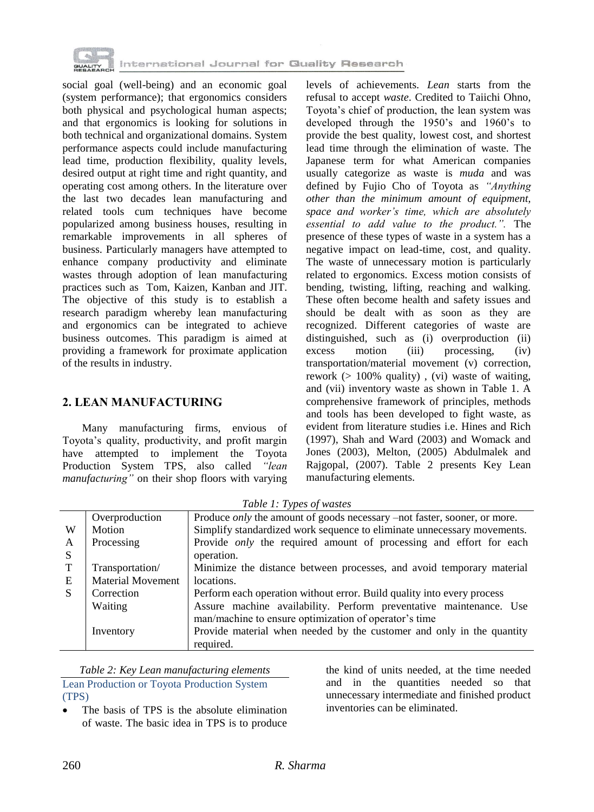

social goal (well-being) and an economic goal (system performance); that ergonomics considers both physical and psychological human aspects; and that ergonomics is looking for solutions in both technical and organizational domains. System performance aspects could include manufacturing lead time, production flexibility, quality levels, desired output at right time and right quantity, and operating cost among others. In the literature over the last two decades lean manufacturing and related tools cum techniques have become popularized among business houses, resulting in remarkable improvements in all spheres of business. Particularly managers have attempted to enhance company productivity and eliminate wastes through adoption of lean manufacturing practices such as Tom, Kaizen, Kanban and JIT. The objective of this study is to establish a research paradigm whereby lean manufacturing and ergonomics can be integrated to achieve business outcomes. This paradigm is aimed at providing a framework for proximate application of the results in industry.

### **2. LEAN MANUFACTURING**

Many manufacturing firms, envious of Toyota's quality, productivity, and profit margin have attempted to implement the Toyota Production System TPS, also called *"lean manufacturing"* on their shop floors with varying

levels of achievements. *Lean* starts from the refusal to accept *waste*. Credited to Taiichi Ohno, Toyota's chief of production, the lean system was developed through the 1950's and 1960's to provide the best quality, lowest cost, and shortest lead time through the elimination of waste. The Japanese term for what American companies usually categorize as waste is *muda* and was defined by Fujio Cho of Toyota as *"Anything other than the minimum amount of equipment, space and worker"s time, which are absolutely essential to add value to the product.".* The presence of these types of waste in a system has a negative impact on lead-time, cost, and quality. The waste of unnecessary motion is particularly related to ergonomics. Excess motion consists of bending, twisting, lifting, reaching and walking. These often become health and safety issues and should be dealt with as soon as they are recognized. Different categories of waste are distinguished, such as (i) overproduction (ii) excess motion (iii) processing, (iv) transportation/material movement (v) correction, rework (> 100% quality) , (vi) waste of waiting, and (vii) inventory waste as shown in Table 1. A comprehensive framework of principles, methods and tools has been developed to fight waste, as evident from literature studies i.e. Hines and Rich (1997), Shah and Ward (2003) and Womack and Jones (2003), Melton, (2005) Abdulmalek and Rajgopal, (2007). Table 2 presents Key Lean manufacturing elements.

W A S T E S Overproduction Produce *only* the amount of goods necessary –not faster, sooner, or more. Motion Simplify standardized work sequence to eliminate unnecessary movements. Processing Provide *only* the required amount of processing and effort for each operation. Transportation/ Material Movement Minimize the distance between processes, and avoid temporary material locations. Correction Perform each operation without error. Build quality into every process Waiting **Assure machine availability. Perform preventative maintenance.** Use man/machine to ensure optimization of operator's time Inventory Provide material when needed by the customer and only in the quantity required.

*Table 2: Key Lean manufacturing elements* Lean Production or Toyota Production System (TPS)

 The basis of TPS is the absolute elimination of waste. The basic idea in TPS is to produce

the kind of units needed, at the time needed and in the quantities needed so that unnecessary intermediate and finished product inventories can be eliminated.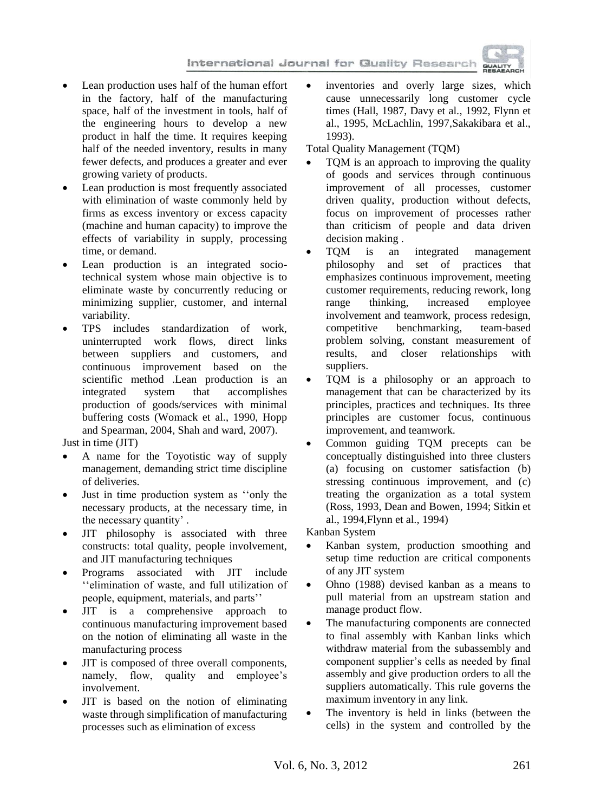

- Lean production uses half of the human effort in the factory, half of the manufacturing space, half of the investment in tools, half of the engineering hours to develop a new product in half the time. It requires keeping half of the needed inventory, results in many fewer defects, and produces a greater and ever growing variety of products.
- Lean production is most frequently associated with elimination of waste commonly held by firms as excess inventory or excess capacity (machine and human capacity) to improve the effects of variability in supply, processing time, or demand.
- Lean production is an integrated sociotechnical system whose main objective is to eliminate waste by concurrently reducing or minimizing supplier, customer, and internal variability.
- TPS includes standardization of work, uninterrupted work flows, direct links between suppliers and customers, and continuous improvement based on the scientific method .Lean production is an integrated system that accomplishes production of goods/services with minimal buffering costs (Womack et al., 1990, Hopp and Spearman, 2004, Shah and ward, 2007).

Just in time (JIT)

- A name for the Toyotistic way of supply management, demanding strict time discipline of deliveries.
- Just in time production system as "only the necessary products, at the necessary time, in the necessary quantity' .
- JIT philosophy is associated with three constructs: total quality, people involvement, and JIT manufacturing techniques
- Programs associated with JIT include ‗‗elimination of waste, and full utilization of people, equipment, materials, and parts''
- JIT is a comprehensive approach to continuous manufacturing improvement based on the notion of eliminating all waste in the manufacturing process
- JIT is composed of three overall components, namely, flow, quality and employee's involvement.
- JIT is based on the notion of eliminating waste through simplification of manufacturing processes such as elimination of excess

 inventories and overly large sizes, which cause unnecessarily long customer cycle times (Hall, 1987, Davy et al., 1992, Flynn et al., 1995, McLachlin, 1997,Sakakibara et al., 1993).

Total Quality Management (TQM)

- TQM is an approach to improving the quality of goods and services through continuous improvement of all processes, customer driven quality, production without defects, focus on improvement of processes rather than criticism of people and data driven decision making .
- TQM is an integrated management philosophy and set of practices that emphasizes continuous improvement, meeting customer requirements, reducing rework, long range thinking, increased employee involvement and teamwork, process redesign, competitive benchmarking, team-based problem solving, constant measurement of results, and closer relationships with suppliers.
- TQM is a philosophy or an approach to management that can be characterized by its principles, practices and techniques. Its three principles are customer focus, continuous improvement, and teamwork.
- Common guiding TQM precepts can be conceptually distinguished into three clusters (a) focusing on customer satisfaction (b) stressing continuous improvement, and (c) treating the organization as a total system (Ross, 1993, Dean and Bowen, 1994; Sitkin et al., 1994,Flynn et al., 1994)

Kanban System

- Kanban system, production smoothing and setup time reduction are critical components of any JIT system
- Ohno (1988) devised kanban as a means to pull material from an upstream station and manage product flow.
- The manufacturing components are connected to final assembly with Kanban links which withdraw material from the subassembly and component supplier's cells as needed by final assembly and give production orders to all the suppliers automatically. This rule governs the maximum inventory in any link.
- The inventory is held in links (between the cells) in the system and controlled by the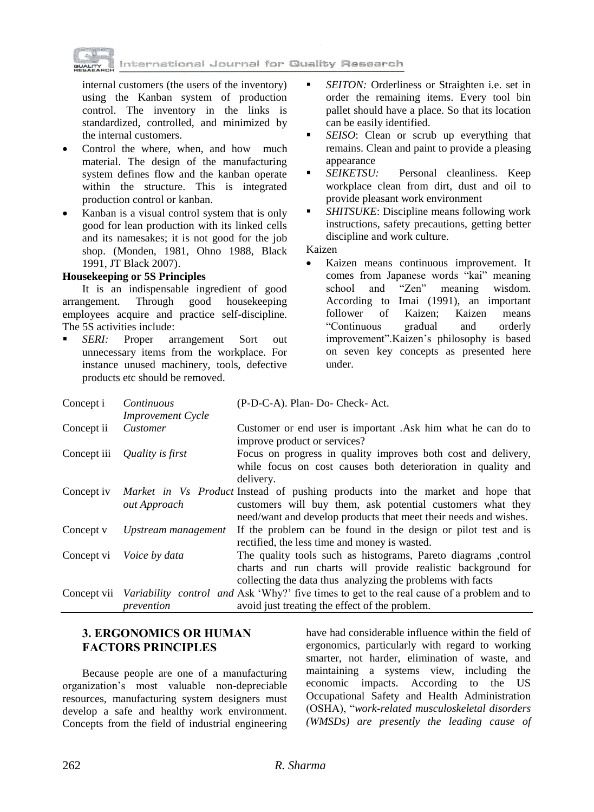

internal customers (the users of the inventory) using the Kanban system of production control. The inventory in the links is standardized, controlled, and minimized by the internal customers.

- Control the where, when, and how much material. The design of the manufacturing system defines flow and the kanban operate within the structure. This is integrated production control or kanban.
- Kanban is a visual control system that is only good for lean production with its linked cells and its namesakes; it is not good for the job shop. (Monden, 1981, Ohno 1988, Black 1991, JT Black 2007).

#### **Housekeeping or 5S Principles**

It is an indispensable ingredient of good arrangement. Through good housekeeping employees acquire and practice self-discipline. The 5S activities include:

 *SERI:* Proper arrangement Sort out unnecessary items from the workplace. For instance unused machinery, tools, defective products etc should be removed.

- *SEITON:* Orderliness or Straighten i.e. set in order the remaining items. Every tool bin pallet should have a place. So that its location can be easily identified.
- *SEISO*: Clean or scrub up everything that remains. Clean and paint to provide a pleasing appearance
- *SEIKETSU:* Personal cleanliness. Keep workplace clean from dirt, dust and oil to provide pleasant work environment
- *SHITSUKE*: Discipline means following work instructions, safety precautions, getting better discipline and work culture.

Kaizen

 Kaizen means continuous improvement. It comes from Japanese words "kai" meaning<br>school and "Zen" meaning wisdom. school and "Zen" meaning wisdom. According to Imai (1991), an important follower of Kaizen; Kaizen means ―Continuous gradual and orderly improvement".Kaizen's philosophy is based on seven key concepts as presented here under.

| Concept i  | Continuous                   | (P-D-C-A). Plan-Do- Check-Act.                                                                                                                                                                                   |
|------------|------------------------------|------------------------------------------------------------------------------------------------------------------------------------------------------------------------------------------------------------------|
|            | <b>Improvement Cycle</b>     |                                                                                                                                                                                                                  |
| Concept ii | Customer                     | Customer or end user is important .Ask him what he can do to<br>improve product or services?                                                                                                                     |
|            | Concept iii Quality is first | Focus on progress in quality improves both cost and delivery,<br>while focus on cost causes both deterioration in quality and<br>delivery.                                                                       |
| Concept iv | <i>out Approach</i>          | Market in Vs Product Instead of pushing products into the market and hope that<br>customers will buy them, ask potential customers what they<br>need/want and develop products that meet their needs and wishes. |
| Concept v  | Upstream management          | If the problem can be found in the design or pilot test and is<br>rectified, the less time and money is wasted.                                                                                                  |
|            | Concept vi Voice by data     | The quality tools such as histograms, Pareto diagrams, control<br>charts and run charts will provide realistic background for<br>collecting the data thus analyzing the problems with facts                      |
|            | prevention                   | Concept vii Variability control and Ask 'Why?' five times to get to the real cause of a problem and to<br>avoid just treating the effect of the problem.                                                         |

# **3. ERGONOMICS OR HUMAN FACTORS PRINCIPLES**

Because people are one of a manufacturing organization's most valuable non-depreciable resources, manufacturing system designers must develop a safe and healthy work environment. Concepts from the field of industrial engineering have had considerable influence within the field of ergonomics, particularly with regard to working smarter, not harder, elimination of waste, and maintaining a systems view, including the economic impacts. According to the US Occupational Safety and Health Administration (OSHA), ―*work-related musculoskeletal disorders (WMSDs) are presently the leading cause of*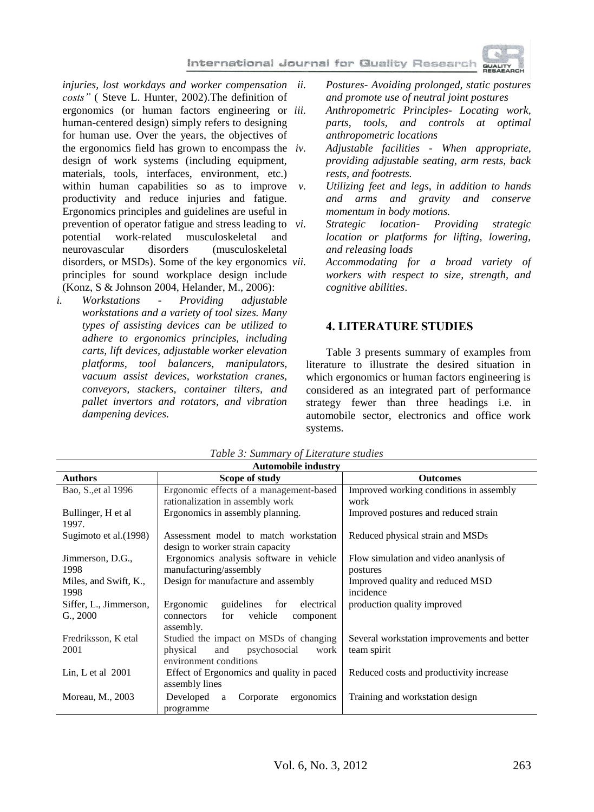*injuries, lost workdays and worker compensation costs"* ( Steve L. Hunter, 2002).The definition of ergonomics (or human factors engineering or *iii*. human-centered design) simply refers to designing for human use. Over the years, the objectives of the ergonomics field has grown to encompass the  $iv$ . design of work systems (including equipment, materials, tools, interfaces, environment, etc.) within human capabilities so as to improve  $\nu$ . productivity and reduce injuries and fatigue. Ergonomics principles and guidelines are useful in prevention of operator fatigue and stress leading to *vi*. potential work-related musculoskeletal and neurovascular disorders (musculoskeletal disorders, or MSDs). Some of the key ergonomics *vii.* principles for sound workplace design include (Konz, S & Johnson 2004, Helander, M., 2006):

*i. Workstations - Providing adjustable workstations and a variety of tool sizes. Many types of assisting devices can be utilized to adhere to ergonomics principles, including carts, lift devices, adjustable worker elevation platforms, tool balancers, manipulators, vacuum assist devices, workstation cranes, conveyors, stackers, container tilters, and pallet invertors and rotators, and vibration dampening devices.*

*ii. Postures- Avoiding prolonged, static postures and promote use of neutral joint postures*

*iii. Anthropometric Principles- Locating work, parts, tools, and controls at optimal anthropometric locations*

*iv. Adjustable facilities - When appropriate, providing adjustable seating, arm rests, back rests, and footrests.*

*v. Utilizing feet and legs, in addition to hands and arms and gravity and conserve momentum in body motions.*

*vi. Strategic location- Providing strategic location or platforms for lifting, lowering, and releasing loads*

*vii. Accommodating for a broad variety of workers with respect to size, strength, and cognitive abilities*.

#### **4. LITERATURE STUDIES**

Table 3 presents summary of examples from literature to illustrate the desired situation in which ergonomics or human factors engineering is considered as an integrated part of performance strategy fewer than three headings i.e. in automobile sector, electronics and office work systems.

| <b>Automobile industry</b>   |                                                                           |                                             |  |  |  |
|------------------------------|---------------------------------------------------------------------------|---------------------------------------------|--|--|--|
| <b>Authors</b>               | Scope of study                                                            | <b>Outcomes</b>                             |  |  |  |
| Bao, S., et al 1996          | Ergonomic effects of a management-based                                   | Improved working conditions in assembly     |  |  |  |
|                              | rationalization in assembly work                                          | work                                        |  |  |  |
| Bullinger, H et al.<br>1997. | Ergonomics in assembly planning.                                          | Improved postures and reduced strain        |  |  |  |
| Sugimoto et al. (1998)       | Assessment model to match workstation<br>design to worker strain capacity | Reduced physical strain and MSDs            |  |  |  |
| Jimmerson, D.G.,             | Ergonomics analysis software in vehicle                                   | Flow simulation and video ananlysis of      |  |  |  |
| 1998                         | manufacturing/assembly                                                    | postures                                    |  |  |  |
| Miles, and Swift, K.,        | Design for manufacture and assembly                                       | Improved quality and reduced MSD            |  |  |  |
| 1998                         |                                                                           | incidence                                   |  |  |  |
| Siffer, L., Jimmerson,       | Ergonomic<br>guidelines<br>electrical<br>for                              | production quality improved                 |  |  |  |
| G., 2000                     | vehicle<br>for<br>connectors<br>component                                 |                                             |  |  |  |
|                              | assembly.                                                                 |                                             |  |  |  |
| Fredriksson, K etal          | Studied the impact on MSDs of changing                                    | Several workstation improvements and better |  |  |  |
| 2001                         | psychosocial<br>physical<br>and<br>work                                   | team spirit                                 |  |  |  |
|                              | environment conditions                                                    |                                             |  |  |  |
| Lin, L et al $2001$          | Effect of Ergonomics and quality in paced                                 | Reduced costs and productivity increase     |  |  |  |
|                              | assembly lines                                                            |                                             |  |  |  |
| Moreau, M., 2003             | Developed<br>ergonomics<br>Corporate<br>a                                 | Training and workstation design             |  |  |  |
|                              | programme                                                                 |                                             |  |  |  |

*Table 3: Summary of Literature studies*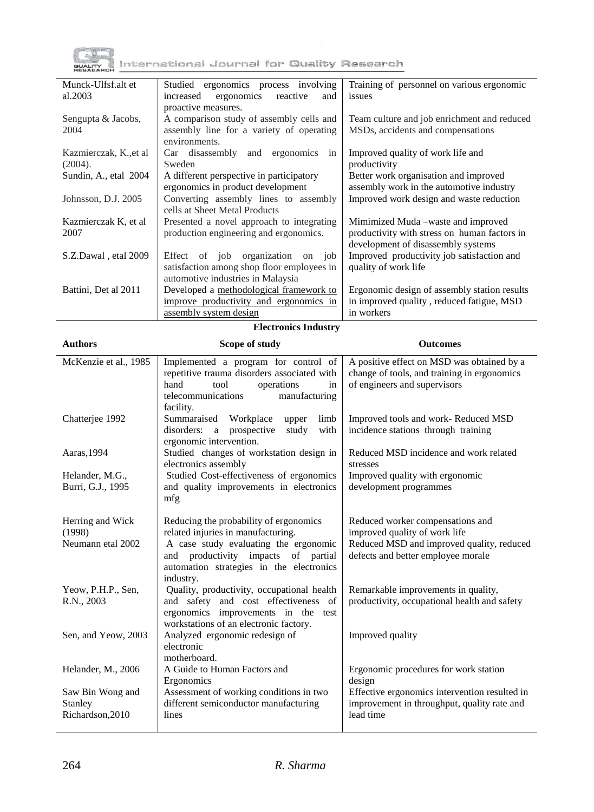

| Munck-Ulfsf.alt et     | Studied ergonomics process involving       | Training of personnel on various ergonomic     |
|------------------------|--------------------------------------------|------------------------------------------------|
| al.2003                | ergonomics<br>reactive<br>increased<br>and | issues                                         |
|                        | proactive measures.                        |                                                |
| Sengupta & Jacobs,     | A comparison study of assembly cells and   | Team culture and job enrichment and reduced    |
| 2004                   | assembly line for a variety of operating   | MSD <sub>s</sub> , accidents and compensations |
|                        | environments.                              |                                                |
| Kazmierczak, K., et al | and ergonomics in<br>Car disassembly       | Improved quality of work life and              |
| (2004).                | Sweden                                     | productivity                                   |
| Sundin, A., etal 2004  | A different perspective in participatory   | Better work organisation and improved          |
|                        | ergonomics in product development          | assembly work in the automotive industry       |
| Johnsson, D.J. 2005    | Converting assembly lines to assembly      | Improved work design and waste reduction       |
|                        | cells at Sheet Metal Products              |                                                |
| Kazmierczak K, et al   | Presented a novel approach to integrating  | Mimimized Muda – waste and improved            |
| 2007                   | production engineering and ergonomics.     | productivity with stress on human factors in   |
|                        |                                            | development of disassembly systems             |
| S.Z.Dawal, etal 2009   | of job organization<br>Effect<br>on job    | Improved productivity job satisfaction and     |
|                        | satisfaction among shop floor employees in | quality of work life                           |
|                        | automotive industries in Malaysia          |                                                |
| Battini, Det al 2011   | Developed a methodological framework to    | Ergonomic design of assembly station results   |
|                        | improve productivity and ergonomics in     | in improved quality, reduced fatigue, MSD      |
|                        | assembly system design                     | in workers                                     |

### **Electronics Industry**

| <b>Authors</b>                       | Scope of study                                                                                                                                                              | <b>Outcomes</b>                                                                                                           |  |
|--------------------------------------|-----------------------------------------------------------------------------------------------------------------------------------------------------------------------------|---------------------------------------------------------------------------------------------------------------------------|--|
| McKenzie et al., 1985                | Implemented a program for control of<br>repetitive trauma disorders associated with<br>operations<br>hand<br>tool<br>in<br>telecommunications<br>manufacturing<br>facility. | A positive effect on MSD was obtained by a<br>change of tools, and training in ergonomics<br>of engineers and supervisors |  |
| Chatterjee 1992                      | Summaraised<br>Workplace<br>limb<br>upper<br>prospective<br>with<br>disorders: a<br>study<br>ergonomic intervention.                                                        | Improved tools and work-Reduced MSD<br>incidence stations through training                                                |  |
| Aaras, 1994                          | Studied changes of workstation design in<br>electronics assembly                                                                                                            | Reduced MSD incidence and work related<br>stresses                                                                        |  |
| Helander, M.G.,<br>Burri, G.J., 1995 | Studied Cost-effectiveness of ergonomics<br>and quality improvements in electronics                                                                                         | Improved quality with ergonomic<br>development programmes                                                                 |  |
|                                      | mfg                                                                                                                                                                         |                                                                                                                           |  |
| Herring and Wick<br>(1998)           | Reducing the probability of ergonomics<br>related injuries in manufacturing.                                                                                                | Reduced worker compensations and<br>improved quality of work life                                                         |  |
| Neumann etal 2002                    | A case study evaluating the ergonomic<br>and productivity impacts of partial<br>automation strategies in the electronics<br>industry.                                       | Reduced MSD and improved quality, reduced<br>defects and better employee morale                                           |  |
| Yeow, P.H.P., Sen,<br>R.N., 2003     | Quality, productivity, occupational health<br>and safety and cost effectiveness of<br>ergonomics improvements in the test<br>workstations of an electronic factory.         | Remarkable improvements in quality,<br>productivity, occupational health and safety                                       |  |
| Sen, and Yeow, 2003                  | Analyzed ergonomic redesign of<br>electronic<br>motherboard.                                                                                                                | Improved quality                                                                                                          |  |
| Helander, M., 2006                   | A Guide to Human Factors and<br>Ergonomics                                                                                                                                  | Ergonomic procedures for work station<br>design                                                                           |  |
| Saw Bin Wong and                     | Assessment of working conditions in two                                                                                                                                     | Effective ergonomics intervention resulted in                                                                             |  |
| Stanley<br>Richardson, 2010          | different semiconductor manufacturing<br>lines                                                                                                                              | improvement in throughput, quality rate and<br>lead time                                                                  |  |

l,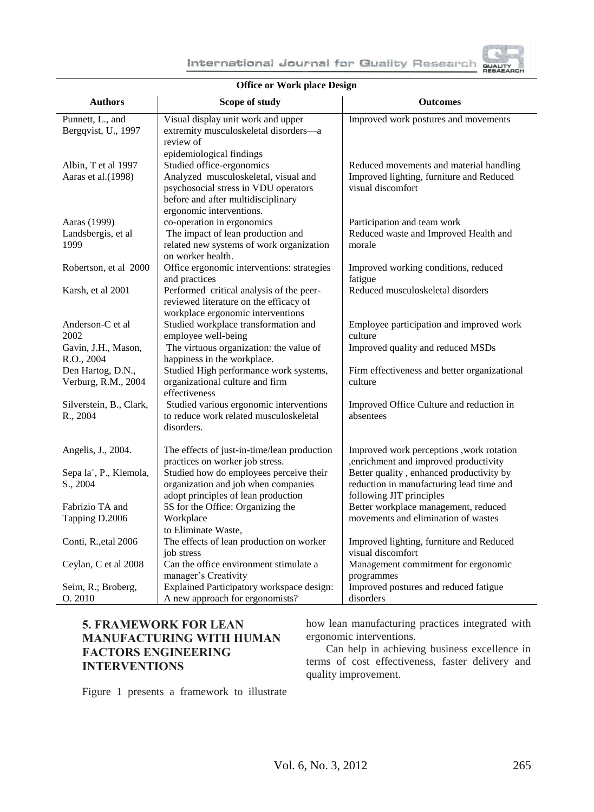| or Quality Research                                                                                                                              |
|--------------------------------------------------------------------------------------------------------------------------------------------------|
| sıgn                                                                                                                                             |
| <b>Outcomes</b>                                                                                                                                  |
| Improved work postures and movements<br>Reduced movements and material handling<br>Improved lighting, furniture and Reduced<br>visual discomfort |
| Participation and team work<br>Reduced waste and Improved Health and<br>morolo                                                                   |

#### **Office or Work place De**

| <b>Authors</b>                             | Scope of study                                                                                                                                                              | <b>Outcomes</b>                                                                                                  |
|--------------------------------------------|-----------------------------------------------------------------------------------------------------------------------------------------------------------------------------|------------------------------------------------------------------------------------------------------------------|
| Punnett, L., and<br>Bergqvist, U., 1997    | Visual display unit work and upper<br>extremity musculoskeletal disorders-a<br>review of<br>epidemiological findings                                                        | Improved work postures and movements                                                                             |
| Albin, T et al 1997<br>Aaras et al. (1998) | Studied office-ergonomics<br>Analyzed musculoskeletal, visual and<br>psychosocial stress in VDU operators<br>before and after multidisciplinary<br>ergonomic interventions. | Reduced movements and material handling<br>Improved lighting, furniture and Reduced<br>visual discomfort         |
| Aaras (1999)<br>Landsbergis, et al<br>1999 | co-operation in ergonomics<br>The impact of lean production and<br>related new systems of work organization<br>on worker health.                                            | Participation and team work<br>Reduced waste and Improved Health and<br>morale                                   |
| Robertson, et al 2000                      | Office ergonomic interventions: strategies<br>and practices                                                                                                                 | Improved working conditions, reduced<br>fatigue                                                                  |
| Karsh, et al 2001                          | Performed critical analysis of the peer-<br>reviewed literature on the efficacy of<br>workplace ergonomic interventions                                                     | Reduced musculoskeletal disorders                                                                                |
| Anderson-C et al<br>2002                   | Studied workplace transformation and<br>employee well-being                                                                                                                 | Employee participation and improved work<br>culture                                                              |
| Gavin, J.H., Mason,<br>R.O., 2004          | The virtuous organization: the value of<br>happiness in the workplace.                                                                                                      | Improved quality and reduced MSDs                                                                                |
| Den Hartog, D.N.,<br>Verburg, R.M., 2004   | Studied High performance work systems,<br>organizational culture and firm<br>effectiveness                                                                                  | Firm effectiveness and better organizational<br>culture                                                          |
| Silverstein, B., Clark,<br>R., 2004        | Studied various ergonomic interventions<br>to reduce work related musculoskeletal<br>disorders.                                                                             | Improved Office Culture and reduction in<br>absentees                                                            |
| Angelis, J., 2004.                         | The effects of just-in-time/lean production<br>practices on worker job stress.                                                                                              | Improved work perceptions , work rotation<br>, enrichment and improved productivity                              |
| Sepa la", P., Klemola,<br>S., 2004         | Studied how do employees perceive their<br>organization and job when companies<br>adopt principles of lean production                                                       | Better quality, enhanced productivity by<br>reduction in manufacturing lead time and<br>following JIT principles |
| Fabrizio TA and<br>Tapping D.2006          | 5S for the Office: Organizing the<br>Workplace<br>to Eliminate Waste,                                                                                                       | Better workplace management, reduced<br>movements and elimination of wastes                                      |
| Conti, R., et al 2006                      | The effects of lean production on worker<br>job stress                                                                                                                      | Improved lighting, furniture and Reduced<br>visual discomfort                                                    |
| Ceylan, C et al 2008                       | Can the office environment stimulate a<br>manager's Creativity                                                                                                              | Management commitment for ergonomic<br>programmes                                                                |
| Seim, R.; Broberg,<br>O. 2010              | Explained Participatory workspace design:<br>A new approach for ergonomists?                                                                                                | Improved postures and reduced fatigue<br>disorders                                                               |

## **5. FRAMEWORK FOR LEAN MANUFACTURING WITH HUMAN FACTORS ENGINEERING INTERVENTIONS**

how lean manufacturing practices integrated with ergonomic interventions.

Can help in achieving business excellence in terms of cost effectiveness, faster delivery and quality improvement.

Figure 1 presents a framework to illustrate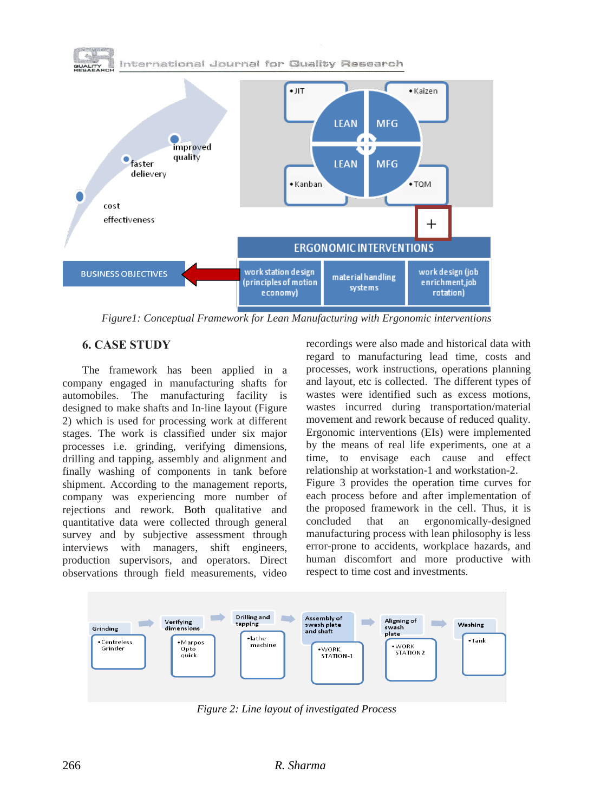



*Figure1: Conceptual Framework for Lean Manufacturing with Ergonomic interventions*

## **6. CASE STUDY**

The framework has been applied in a company engaged in manufacturing shafts for automobiles. The manufacturing facility is designed to make shafts and In-line layout (Figure 2) which is used for processing work at different stages. The work is classified under six major processes i.e. grinding, verifying dimensions, drilling and tapping, assembly and alignment and finally washing of components in tank before shipment. According to the management reports, company was experiencing more number of rejections and rework. Both qualitative and quantitative data were collected through general survey and by subjective assessment through interviews with managers, shift engineers, production supervisors, and operators. Direct observations through field measurements, video

recordings were also made and historical data with regard to manufacturing lead time, costs and processes, work instructions, operations planning and layout, etc is collected. The different types of wastes were identified such as excess motions, wastes incurred during transportation/material movement and rework because of reduced quality. Ergonomic interventions (EIs) were implemented by the means of real life experiments, one at a time, to envisage each cause and effect relationship at workstation-1 and workstation-2. Figure 3 provides the operation time curves for each process before and after implementation of the proposed framework in the cell. Thus, it is concluded that an ergonomically-designed manufacturing process with lean philosophy is less error-prone to accidents, workplace hazards, and human discomfort and more productive with respect to time cost and investments.



*Figure 2: Line layout of investigated Process*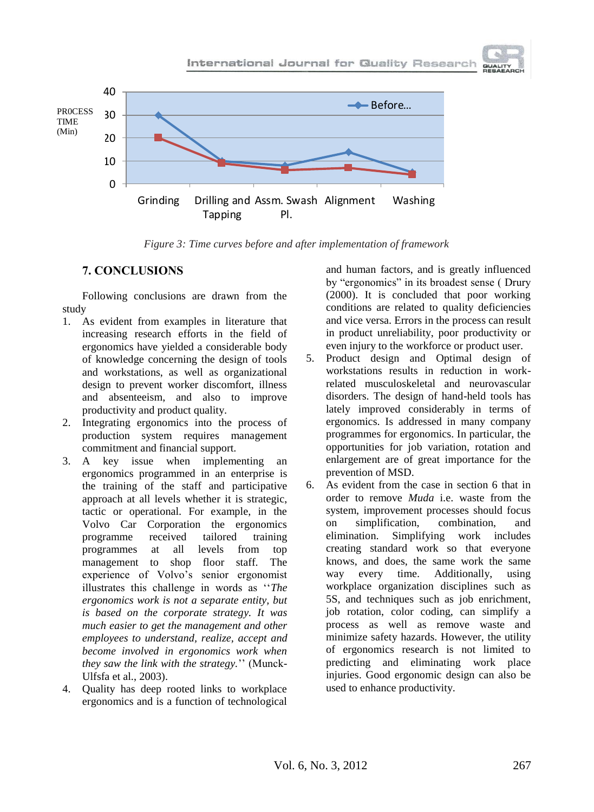



*Figure 3: Time curves before and after implementation of framework*

### **7. CONCLUSIONS**

Following conclusions are drawn from the study

- 1. As evident from examples in literature that increasing research efforts in the field of ergonomics have yielded a considerable body of knowledge concerning the design of tools and workstations, as well as organizational design to prevent worker discomfort, illness and absenteeism, and also to improve productivity and product quality.
- 2. Integrating ergonomics into the process of production system requires management commitment and financial support.
- 3. A key issue when implementing an ergonomics programmed in an enterprise is the training of the staff and participative approach at all levels whether it is strategic, tactic or operational. For example, in the Volvo Car Corporation the ergonomics programme received tailored training programmes at all levels from top management to shop floor staff. The experience of Volvo's senior ergonomist illustrates this challenge in words as "The *ergonomics work is not a separate entity, but is based on the corporate strategy. It was much easier to get the management and other employees to understand, realize, accept and become involved in ergonomics work when they saw the link with the strategy.*'' (Munck-Ulfsfa et al., 2003).
- 4. Quality has deep rooted links to workplace ergonomics and is a function of technological

and human factors, and is greatly influenced by "ergonomics" in its broadest sense (Drury (2000). It is concluded that poor working conditions are related to quality deficiencies and vice versa. Errors in the process can result in product unreliability, poor productivity or even injury to the workforce or product user.

- 5. Product design and Optimal design of workstations results in reduction in workrelated musculoskeletal and neurovascular disorders. The design of hand-held tools has lately improved considerably in terms of ergonomics. Is addressed in many company programmes for ergonomics. In particular, the opportunities for job variation, rotation and enlargement are of great importance for the prevention of MSD.
- 6. As evident from the case in section 6 that in order to remove *Muda* i.e. waste from the system, improvement processes should focus on simplification, combination, and elimination. Simplifying work includes creating standard work so that everyone knows, and does, the same work the same way every time. Additionally, using workplace organization disciplines such as 5S, and techniques such as job enrichment, job rotation, color coding, can simplify a process as well as remove waste and minimize safety hazards. However, the utility of ergonomics research is not limited to predicting and eliminating work place injuries. Good ergonomic design can also be used to enhance productivity.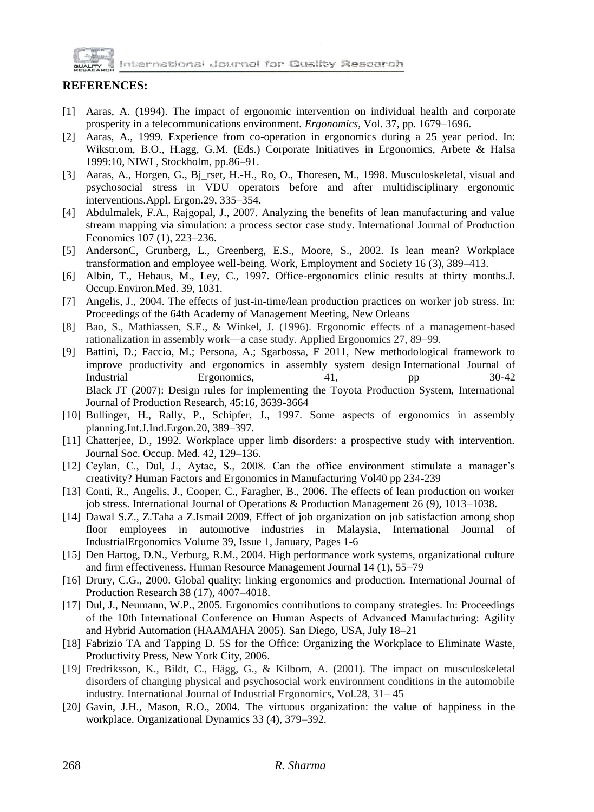

# **REFERENCES:**

- [1] Aaras, A. (1994). The impact of ergonomic intervention on individual health and corporate prosperity in a telecommunications environment. *Ergonomics*, Vol. 37, pp. 1679–1696.
- [2] Aaras, A., 1999. Experience from co-operation in ergonomics during a 25 year period. In: Wikstr.om, B.O., H.agg, G.M. (Eds.) Corporate Initiatives in Ergonomics, Arbete & Halsa 1999:10, NIWL, Stockholm, pp.86–91.
- [3] Aaras, A., Horgen, G., Bj\_rset, H.-H., Ro, O., Thoresen, M., 1998. Musculoskeletal, visual and psychosocial stress in VDU operators before and after multidisciplinary ergonomic interventions.Appl. Ergon.29, 335–354.
- [4] Abdulmalek, F.A., Rajgopal, J., 2007. Analyzing the benefits of lean manufacturing and value stream mapping via simulation: a process sector case study. International Journal of Production Economics 107 (1), 223–236.
- [5] AndersonC, Grunberg, L., Greenberg, E.S., Moore, S., 2002. Is lean mean? Workplace transformation and employee well-being. Work, Employment and Society 16 (3), 389–413.
- [6] Albin, T., Hebaus, M., Ley, C., 1997. Office-ergonomics clinic results at thirty months.J. Occup.Environ.Med. 39, 1031.
- [7] Angelis, J., 2004. The effects of just-in-time/lean production practices on worker job stress. In: Proceedings of the 64th Academy of Management Meeting, New Orleans
- [8] Bao, S., Mathiassen, S.E., & Winkel, J. (1996). Ergonomic effects of a management-based rationalization in assembly work—a case study. Applied Ergonomics 27, 89–99.
- [9] Battini, D.; Faccio, M.; Persona, A.; Sgarbossa, F 2011, [New methodological framework to](http://www.sciencedirect.com/science?_ob=GatewayURL&_method=citationSearch&_urlVersion=4&_origin=SDTOPTWOFIVE&_version=1&_piikey=S016981411000106X&md5=9761dfb0330641cf4a343046be872cc1)  [improve productivity and ergonomics in assembly system design](http://www.sciencedirect.com/science?_ob=GatewayURL&_method=citationSearch&_urlVersion=4&_origin=SDTOPTWOFIVE&_version=1&_piikey=S016981411000106X&md5=9761dfb0330641cf4a343046be872cc1) International Journal of Industrial Ergonomics, 41, pp 30-42 Black JT (2007): Design rules for implementing the Toyota Production System, International Journal of Production Research, 45:16, 3639-3664
- [10] Bullinger, H., Rally, P., Schipfer, J., 1997. Some aspects of ergonomics in assembly planning.Int.J.Ind.Ergon.20, 389–397.
- [11] Chatterjee, D., 1992. Workplace upper limb disorders: a prospective study with intervention. Journal Soc. Occup. Med. 42, 129–136.
- [12] Ceylan, C., Dul, J., Aytac, S., 2008. Can the office environment stimulate a manager's creativity? Human Factors and Ergonomics in Manufacturing Vol40 pp 234-239
- [13] Conti, R., Angelis, J., Cooper, C., Faragher, B., 2006. The effects of lean production on worker job stress. International Journal of Operations & Production Management 26 (9), 1013–1038.
- [14] Dawal S.Z., Z.Taha a Z.Ismail 2009, Effect of job organization on job satisfaction among shop floor employees in automotive industries in Malaysia, [International](http://www.sciencedirect.com/science/journal/01698141) Journal of [IndustrialErgonomics](http://www.sciencedirect.com/science/journal/01698141) [Volume](http://www.sciencedirect.com/science?_ob=PublicationURL&_hubEid=1-s2.0-S0169814108X00083&_cid=271473&_pubType=JL&view=c&_auth=y&_acct=C000053735&_version=1&_urlVersion=0&_userid=1562438&md5=9a5b5c32a8f5d2e306c0904407c1aec2) 39, Issue 1, January, Pages 1-6
- [15] Den Hartog, D.N., Verburg, R.M., 2004. High performance work systems, organizational culture and firm effectiveness. Human Resource Management Journal 14 (1), 55–79
- [16] Drury, C.G., 2000. Global quality: linking ergonomics and production. International Journal of Production Research 38 (17), 4007–4018.
- [17] Dul, J., Neumann, W.P., 2005. Ergonomics contributions to company strategies. In: Proceedings of the 10th International Conference on Human Aspects of Advanced Manufacturing: Agility and Hybrid Automation (HAAMAHA 2005). San Diego, USA, July 18–21
- [18] Fabrizio TA and Tapping D. 5S for the Office: Organizing the Workplace to Eliminate Waste, Productivity Press, New York City, 2006.
- [19] Fredriksson, K., Bildt, C., Hägg, G., & Kilbom, A. (2001). The impact on musculoskeletal disorders of changing physical and psychosocial work environment conditions in the automobile industry. International Journal of Industrial Ergonomics, Vol.28, 31– 45
- [20] Gavin, J.H., Mason, R.O., 2004. The virtuous organization: the value of happiness in the workplace. Organizational Dynamics 33 (4), 379–392.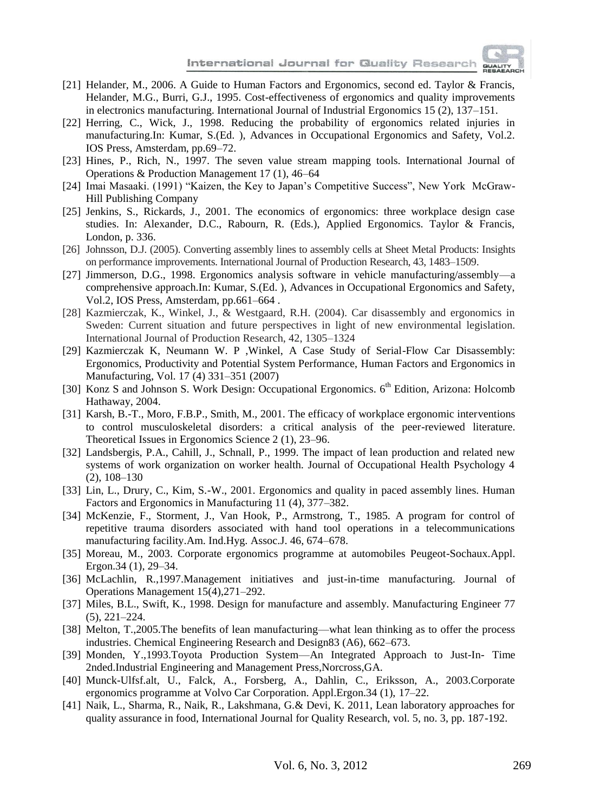

- [21] Helander, M., 2006. A Guide to Human Factors and Ergonomics, second ed. Taylor & Francis, Helander, M.G., Burri, G.J., 1995. Cost-effectiveness of ergonomics and quality improvements in electronics manufacturing. International Journal of Industrial Ergonomics 15 (2), 137–151.
- [22] Herring, C., Wick, J., 1998. Reducing the probability of ergonomics related injuries in manufacturing.In: Kumar, S.(Ed. ), Advances in Occupational Ergonomics and Safety, Vol.2. IOS Press, Amsterdam, pp.69–72.
- [23] Hines, P., Rich, N., 1997. The seven value stream mapping tools. International Journal of Operations & Production Management 17 (1), 46–64
- [24] Imai Masaaki. (1991) "Kaizen, the Key to Japan's Competitive Success", New York McGraw-Hill Publishing Company
- [25] Jenkins, S., Rickards, J., 2001. The economics of ergonomics: three workplace design case studies. In: Alexander, D.C., Rabourn, R. (Eds.), Applied Ergonomics. Taylor & Francis, London, p. 336.
- [26] Johnsson, D.J. (2005). Converting assembly lines to assembly cells at Sheet Metal Products: Insights on performance improvements. International Journal of Production Research, 43, 1483–1509.
- [27] Jimmerson, D.G., 1998. Ergonomics analysis software in vehicle manufacturing/assembly—a comprehensive approach.In: Kumar, S.(Ed. ), Advances in Occupational Ergonomics and Safety, Vol.2, IOS Press, Amsterdam, pp.661–664 .
- [28] Kazmierczak, K., Winkel, J., & Westgaard, R.H. (2004). Car disassembly and ergonomics in Sweden: Current situation and future perspectives in light of new environmental legislation. International Journal of Production Research, 42, 1305–1324
- [29] Kazmierczak K, Neumann W. P ,Winkel, A Case Study of Serial-Flow Car Disassembly: Ergonomics, Productivity and Potential System Performance, Human Factors and Ergonomics in Manufacturing, Vol. 17 (4) 331–351 (2007)
- [30] Konz S and Johnson S. Work Design: Occupational Ergonomics. 6<sup>th</sup> Edition, Arizona: Holcomb Hathaway, 2004.
- [31] Karsh, B.-T., Moro, F.B.P., Smith, M., 2001. The efficacy of workplace ergonomic interventions to control musculoskeletal disorders: a critical analysis of the peer-reviewed literature. Theoretical Issues in Ergonomics Science 2 (1), 23–96.
- [32] Landsbergis, P.A., Cahill, J., Schnall, P., 1999. The impact of lean production and related new systems of work organization on worker health. Journal of Occupational Health Psychology 4 (2), 108–130
- [33] Lin, L., Drury, C., Kim, S.-W., 2001. Ergonomics and quality in paced assembly lines. Human Factors and Ergonomics in Manufacturing 11 (4), 377–382.
- [34] McKenzie, F., Storment, J., Van Hook, P., Armstrong, T., 1985. A program for control of repetitive trauma disorders associated with hand tool operations in a telecommunications manufacturing facility.Am. Ind.Hyg. Assoc.J. 46, 674–678.
- [35] Moreau, M., 2003. Corporate ergonomics programme at automobiles Peugeot-Sochaux.Appl. Ergon.34 (1), 29–34.
- [36] McLachlin, R.,1997.Management initiatives and just-in-time manufacturing. Journal of Operations Management 15(4),271–292.
- [37] Miles, B.L., Swift, K., 1998. Design for manufacture and assembly. Manufacturing Engineer 77 (5), 221–224.
- [38] Melton, T.,2005.The benefits of lean manufacturing—what lean thinking as to offer the process industries. Chemical Engineering Research and Design83 (A6), 662–673.
- [39] Monden, Y.,1993.Toyota Production System—An Integrated Approach to Just-In- Time 2nded.Industrial Engineering and Management Press,Norcross,GA.
- [40] Munck-Ulfsf.alt, U., Falck, A., Forsberg, A., Dahlin, C., Eriksson, A., 2003.Corporate ergonomics programme at Volvo Car Corporation. Appl.Ergon.34 (1), 17–22.
- [41] Naik, L., Sharma, R., Naik, R., Lakshmana, G.& Devi, K. 2011, Lean laboratory approaches for quality assurance in food, International Journal for Quality Research, vol. 5, no. 3, pp. 187-192.